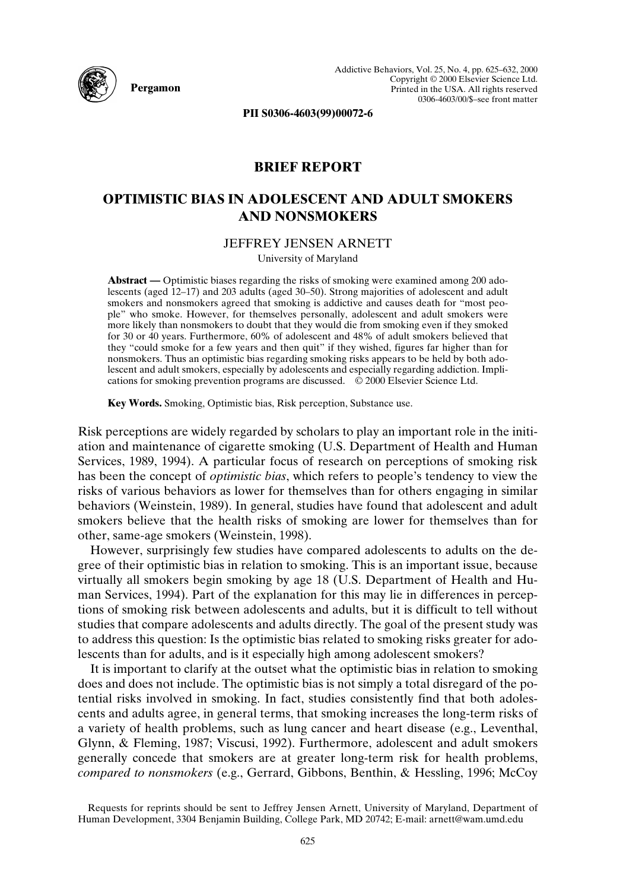

Addictive Behaviors, Vol. 25, No. 4, pp. 625–632, 2000 Copyright © 2000 Elsevier Science Ltd. Printed in the USA. All rights reserved 0306-4603/00/\$–see front matter

**PII S0306-4603(99)00072-6**

# **BRIEF REPORT**

# **OPTIMISTIC BIAS IN ADOLESCENT AND ADULT SMOKERS AND NONSMOKERS**

# JEFFREY JENSEN ARNETT

University of Maryland

**Abstract —** Optimistic biases regarding the risks of smoking were examined among 200 adolescents (aged 12–17) and 203 adults (aged 30–50). Strong majorities of adolescent and adult smokers and nonsmokers agreed that smoking is addictive and causes death for "most people" who smoke. However, for themselves personally, adolescent and adult smokers were more likely than nonsmokers to doubt that they would die from smoking even if they smoked for 30 or 40 years. Furthermore, 60% of adolescent and 48% of adult smokers believed that they "could smoke for a few years and then quit" if they wished, figures far higher than for nonsmokers. Thus an optimistic bias regarding smoking risks appears to be held by both adolescent and adult smokers, especially by adolescents and especially regarding addiction. Implications for smoking prevention programs are discussed. © 2000 Elsevier Science Ltd.

**Key Words.** Smoking, Optimistic bias, Risk perception, Substance use.

Risk perceptions are widely regarded by scholars to play an important role in the initiation and maintenance of cigarette smoking (U.S. Department of Health and Human Services, 1989, 1994). A particular focus of research on perceptions of smoking risk has been the concept of *optimistic bias*, which refers to people's tendency to view the risks of various behaviors as lower for themselves than for others engaging in similar behaviors (Weinstein, 1989). In general, studies have found that adolescent and adult smokers believe that the health risks of smoking are lower for themselves than for other, same-age smokers (Weinstein, 1998).

However, surprisingly few studies have compared adolescents to adults on the degree of their optimistic bias in relation to smoking. This is an important issue, because virtually all smokers begin smoking by age 18 (U.S. Department of Health and Human Services, 1994). Part of the explanation for this may lie in differences in perceptions of smoking risk between adolescents and adults, but it is difficult to tell without studies that compare adolescents and adults directly. The goal of the present study was to address this question: Is the optimistic bias related to smoking risks greater for adolescents than for adults, and is it especially high among adolescent smokers?

It is important to clarify at the outset what the optimistic bias in relation to smoking does and does not include. The optimistic bias is not simply a total disregard of the potential risks involved in smoking. In fact, studies consistently find that both adolescents and adults agree, in general terms, that smoking increases the long-term risks of a variety of health problems, such as lung cancer and heart disease (e.g., Leventhal, Glynn, & Fleming, 1987; Viscusi, 1992). Furthermore, adolescent and adult smokers generally concede that smokers are at greater long-term risk for health problems, *compared to nonsmokers* (e.g., Gerrard, Gibbons, Benthin, & Hessling, 1996; McCoy

Requests for reprints should be sent to Jeffrey Jensen Arnett, University of Maryland, Department of Human Development, 3304 Benjamin Building, College Park, MD 20742; E-mail: arnett@wam.umd.edu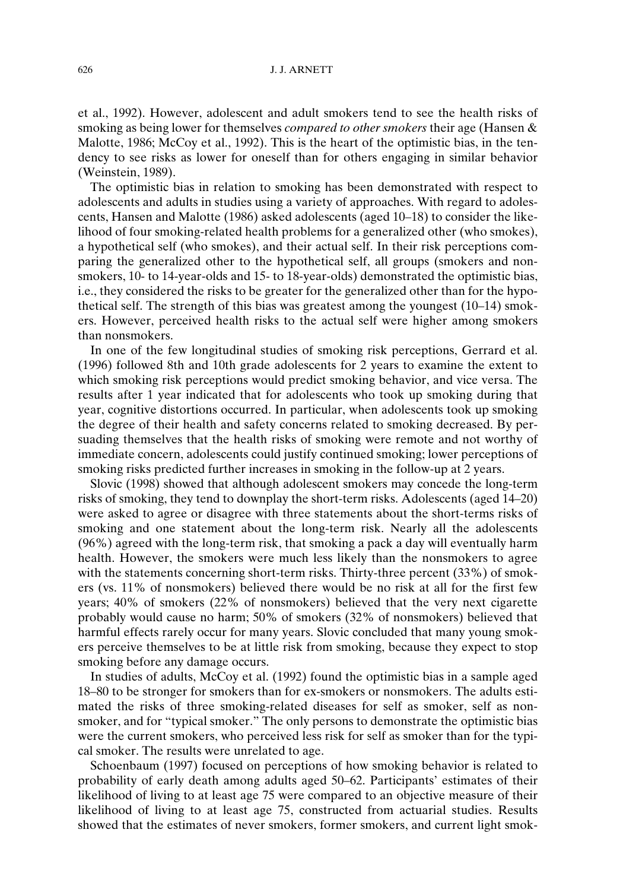et al., 1992). However, adolescent and adult smokers tend to see the health risks of smoking as being lower for themselves *compared to other smokers* their age (Hansen & Malotte, 1986; McCoy et al., 1992). This is the heart of the optimistic bias, in the tendency to see risks as lower for oneself than for others engaging in similar behavior (Weinstein, 1989).

The optimistic bias in relation to smoking has been demonstrated with respect to adolescents and adults in studies using a variety of approaches. With regard to adolescents, Hansen and Malotte (1986) asked adolescents (aged 10–18) to consider the likelihood of four smoking-related health problems for a generalized other (who smokes), a hypothetical self (who smokes), and their actual self. In their risk perceptions comparing the generalized other to the hypothetical self, all groups (smokers and nonsmokers, 10- to 14-year-olds and 15- to 18-year-olds) demonstrated the optimistic bias, i.e., they considered the risks to be greater for the generalized other than for the hypothetical self. The strength of this bias was greatest among the youngest (10–14) smokers. However, perceived health risks to the actual self were higher among smokers than nonsmokers.

In one of the few longitudinal studies of smoking risk perceptions, Gerrard et al. (1996) followed 8th and 10th grade adolescents for 2 years to examine the extent to which smoking risk perceptions would predict smoking behavior, and vice versa. The results after 1 year indicated that for adolescents who took up smoking during that year, cognitive distortions occurred. In particular, when adolescents took up smoking the degree of their health and safety concerns related to smoking decreased. By persuading themselves that the health risks of smoking were remote and not worthy of immediate concern, adolescents could justify continued smoking; lower perceptions of smoking risks predicted further increases in smoking in the follow-up at 2 years.

Slovic (1998) showed that although adolescent smokers may concede the long-term risks of smoking, they tend to downplay the short-term risks. Adolescents (aged 14–20) were asked to agree or disagree with three statements about the short-terms risks of smoking and one statement about the long-term risk. Nearly all the adolescents (96%) agreed with the long-term risk, that smoking a pack a day will eventually harm health. However, the smokers were much less likely than the nonsmokers to agree with the statements concerning short-term risks. Thirty-three percent (33%) of smokers (vs. 11% of nonsmokers) believed there would be no risk at all for the first few years; 40% of smokers (22% of nonsmokers) believed that the very next cigarette probably would cause no harm; 50% of smokers (32% of nonsmokers) believed that harmful effects rarely occur for many years. Slovic concluded that many young smokers perceive themselves to be at little risk from smoking, because they expect to stop smoking before any damage occurs.

In studies of adults, McCoy et al. (1992) found the optimistic bias in a sample aged 18–80 to be stronger for smokers than for ex-smokers or nonsmokers. The adults estimated the risks of three smoking-related diseases for self as smoker, self as nonsmoker, and for "typical smoker." The only persons to demonstrate the optimistic bias were the current smokers, who perceived less risk for self as smoker than for the typical smoker. The results were unrelated to age.

Schoenbaum (1997) focused on perceptions of how smoking behavior is related to probability of early death among adults aged 50–62. Participants' estimates of their likelihood of living to at least age 75 were compared to an objective measure of their likelihood of living to at least age 75, constructed from actuarial studies. Results showed that the estimates of never smokers, former smokers, and current light smok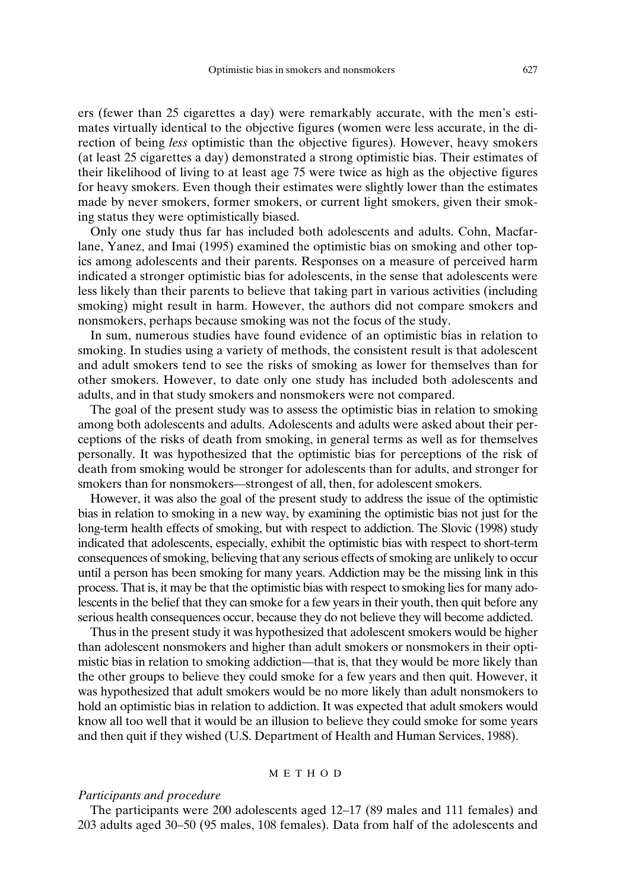ers (fewer than 25 cigarettes a day) were remarkably accurate, with the men's estimates virtually identical to the objective figures (women were less accurate, in the direction of being *less* optimistic than the objective figures). However, heavy smokers (at least 25 cigarettes a day) demonstrated a strong optimistic bias. Their estimates of their likelihood of living to at least age 75 were twice as high as the objective figures for heavy smokers. Even though their estimates were slightly lower than the estimates made by never smokers, former smokers, or current light smokers, given their smoking status they were optimistically biased.

Only one study thus far has included both adolescents and adults. Cohn, Macfarlane, Yanez, and Imai (1995) examined the optimistic bias on smoking and other topics among adolescents and their parents. Responses on a measure of perceived harm indicated a stronger optimistic bias for adolescents, in the sense that adolescents were less likely than their parents to believe that taking part in various activities (including smoking) might result in harm. However, the authors did not compare smokers and nonsmokers, perhaps because smoking was not the focus of the study.

In sum, numerous studies have found evidence of an optimistic bias in relation to smoking. In studies using a variety of methods, the consistent result is that adolescent and adult smokers tend to see the risks of smoking as lower for themselves than for other smokers. However, to date only one study has included both adolescents and adults, and in that study smokers and nonsmokers were not compared.

The goal of the present study was to assess the optimistic bias in relation to smoking among both adolescents and adults. Adolescents and adults were asked about their perceptions of the risks of death from smoking, in general terms as well as for themselves personally. It was hypothesized that the optimistic bias for perceptions of the risk of death from smoking would be stronger for adolescents than for adults, and stronger for smokers than for nonsmokers—strongest of all, then, for adolescent smokers.

However, it was also the goal of the present study to address the issue of the optimistic bias in relation to smoking in a new way, by examining the optimistic bias not just for the long-term health effects of smoking, but with respect to addiction. The Slovic (1998) study indicated that adolescents, especially, exhibit the optimistic bias with respect to short-term consequences of smoking, believing that any serious effects of smoking are unlikely to occur until a person has been smoking for many years. Addiction may be the missing link in this process. That is, it may be that the optimistic bias with respect to smoking lies for many adolescents in the belief that they can smoke for a few years in their youth, then quit before any serious health consequences occur, because they do not believe they will become addicted.

Thus in the present study it was hypothesized that adolescent smokers would be higher than adolescent nonsmokers and higher than adult smokers or nonsmokers in their optimistic bias in relation to smoking addiction—that is, that they would be more likely than the other groups to believe they could smoke for a few years and then quit. However, it was hypothesized that adult smokers would be no more likely than adult nonsmokers to hold an optimistic bias in relation to addiction. It was expected that adult smokers would know all too well that it would be an illusion to believe they could smoke for some years and then quit if they wished (U.S. Department of Health and Human Services, 1988).

### METHOD

### *Participants and procedure*

The participants were 200 adolescents aged 12–17 (89 males and 111 females) and 203 adults aged 30–50 (95 males, 108 females). Data from half of the adolescents and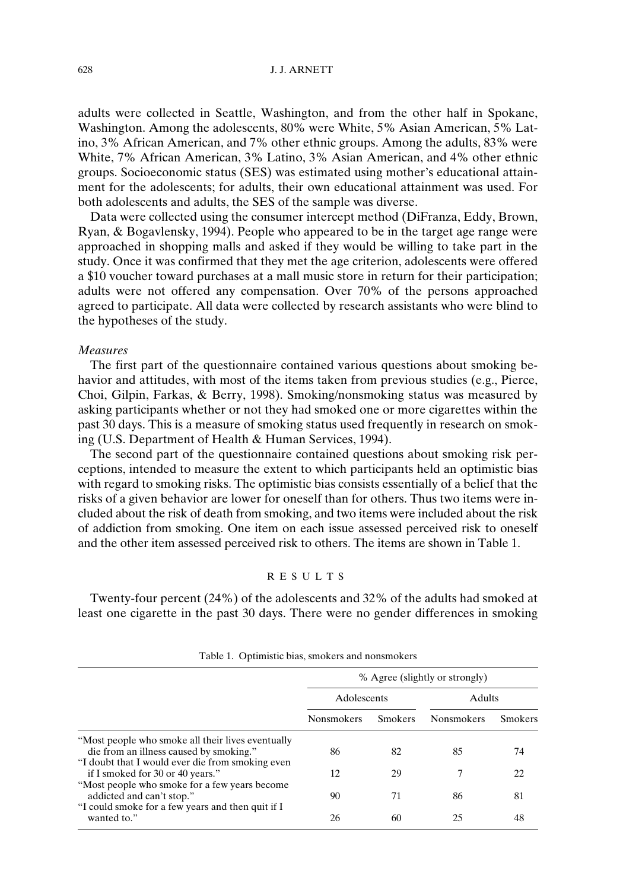### 628 J. J. ARNETT

adults were collected in Seattle, Washington, and from the other half in Spokane, Washington. Among the adolescents, 80% were White, 5% Asian American, 5% Latino, 3% African American, and 7% other ethnic groups. Among the adults, 83% were White, 7% African American, 3% Latino, 3% Asian American, and 4% other ethnic groups. Socioeconomic status (SES) was estimated using mother's educational attainment for the adolescents; for adults, their own educational attainment was used. For both adolescents and adults, the SES of the sample was diverse.

Data were collected using the consumer intercept method (DiFranza, Eddy, Brown, Ryan, & Bogavlensky, 1994). People who appeared to be in the target age range were approached in shopping malls and asked if they would be willing to take part in the study. Once it was confirmed that they met the age criterion, adolescents were offered a \$10 voucher toward purchases at a mall music store in return for their participation; adults were not offered any compensation. Over 70% of the persons approached agreed to participate. All data were collected by research assistants who were blind to the hypotheses of the study.

#### *Measures*

The first part of the questionnaire contained various questions about smoking behavior and attitudes, with most of the items taken from previous studies (e.g., Pierce, Choi, Gilpin, Farkas, & Berry, 1998). Smoking/nonsmoking status was measured by asking participants whether or not they had smoked one or more cigarettes within the past 30 days. This is a measure of smoking status used frequently in research on smoking (U.S. Department of Health & Human Services, 1994).

The second part of the questionnaire contained questions about smoking risk perceptions, intended to measure the extent to which participants held an optimistic bias with regard to smoking risks. The optimistic bias consists essentially of a belief that the risks of a given behavior are lower for oneself than for others. Thus two items were included about the risk of death from smoking, and two items were included about the risk of addiction from smoking. One item on each issue assessed perceived risk to oneself and the other item assessed perceived risk to others. The items are shown in Table 1.

### RESULTS

Twenty-four percent (24%) of the adolescents and 32% of the adults had smoked at least one cigarette in the past 30 days. There were no gender differences in smoking

|                                                                                                                                                 | % Agree (slightly or strongly) |                |                   |         |  |  |
|-------------------------------------------------------------------------------------------------------------------------------------------------|--------------------------------|----------------|-------------------|---------|--|--|
|                                                                                                                                                 | Adolescents                    |                | Adults            |         |  |  |
|                                                                                                                                                 | <b>Nonsmokers</b>              | <b>Smokers</b> | <b>Nonsmokers</b> | Smokers |  |  |
| "Most people who smoke all their lives eventually<br>die from an illness caused by smoking."                                                    | 86                             | 82             | 85                | 74      |  |  |
| "I doubt that I would ever die from smoking even<br>if I smoked for 30 or 40 years."                                                            | 12                             | 29             | 7                 | 22      |  |  |
| "Most people who smoke for a few years become"<br>addicted and can't stop."<br>"I could smoke for a few years and then quit if I<br>wanted to." | 90                             | 71             | 86                | 81      |  |  |
|                                                                                                                                                 | 26                             | 60             | 25                | 48      |  |  |

Table 1. Optimistic bias, smokers and nonsmokers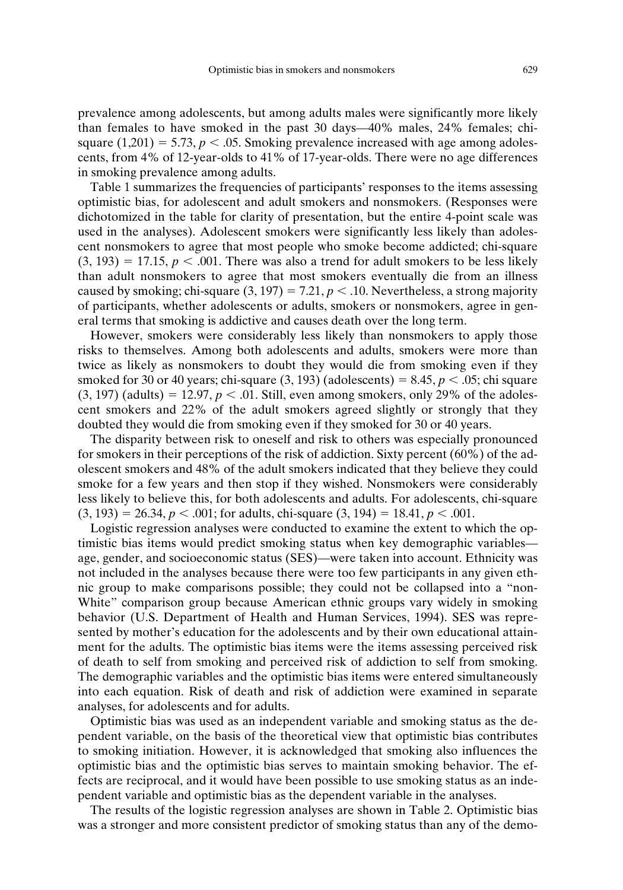prevalence among adolescents, but among adults males were significantly more likely than females to have smoked in the past 30 days—40% males, 24% females; chisquare  $(1,201) = 5.73$ ,  $p < .05$ . Smoking prevalence increased with age among adolescents, from 4% of 12-year-olds to 41% of 17-year-olds. There were no age differences in smoking prevalence among adults.

Table 1 summarizes the frequencies of participants' responses to the items assessing optimistic bias, for adolescent and adult smokers and nonsmokers. (Responses were dichotomized in the table for clarity of presentation, but the entire 4-point scale was used in the analyses). Adolescent smokers were significantly less likely than adolescent nonsmokers to agree that most people who smoke become addicted; chi-square  $(3, 193) = 17.15$ ,  $p < .001$ . There was also a trend for adult smokers to be less likely than adult nonsmokers to agree that most smokers eventually die from an illness caused by smoking; chi-square  $(3, 197) = 7.21$ ,  $p < .10$ . Nevertheless, a strong majority of participants, whether adolescents or adults, smokers or nonsmokers, agree in general terms that smoking is addictive and causes death over the long term.

However, smokers were considerably less likely than nonsmokers to apply those risks to themselves. Among both adolescents and adults, smokers were more than twice as likely as nonsmokers to doubt they would die from smoking even if they smoked for 30 or 40 years; chi-square  $(3, 193)$  (adolescents) = 8.45,  $p < .05$ ; chi square  $(3, 197)$  (adults) = 12.97,  $p < .01$ . Still, even among smokers, only 29% of the adolescent smokers and 22% of the adult smokers agreed slightly or strongly that they doubted they would die from smoking even if they smoked for 30 or 40 years.

The disparity between risk to oneself and risk to others was especially pronounced for smokers in their perceptions of the risk of addiction. Sixty percent (60%) of the adolescent smokers and 48% of the adult smokers indicated that they believe they could smoke for a few years and then stop if they wished. Nonsmokers were considerably less likely to believe this, for both adolescents and adults. For adolescents, chi-square  $(3, 193) = 26.34, p < .001$ ; for adults, chi-square  $(3, 194) = 18.41, p < .001$ .

Logistic regression analyses were conducted to examine the extent to which the optimistic bias items would predict smoking status when key demographic variables age, gender, and socioeconomic status (SES)—were taken into account. Ethnicity was not included in the analyses because there were too few participants in any given ethnic group to make comparisons possible; they could not be collapsed into a "non-White" comparison group because American ethnic groups vary widely in smoking behavior (U.S. Department of Health and Human Services, 1994). SES was represented by mother's education for the adolescents and by their own educational attainment for the adults. The optimistic bias items were the items assessing perceived risk of death to self from smoking and perceived risk of addiction to self from smoking. The demographic variables and the optimistic bias items were entered simultaneously into each equation. Risk of death and risk of addiction were examined in separate analyses, for adolescents and for adults.

Optimistic bias was used as an independent variable and smoking status as the dependent variable, on the basis of the theoretical view that optimistic bias contributes to smoking initiation. However, it is acknowledged that smoking also influences the optimistic bias and the optimistic bias serves to maintain smoking behavior. The effects are reciprocal, and it would have been possible to use smoking status as an independent variable and optimistic bias as the dependent variable in the analyses.

The results of the logistic regression analyses are shown in Table 2. Optimistic bias was a stronger and more consistent predictor of smoking status than any of the demo-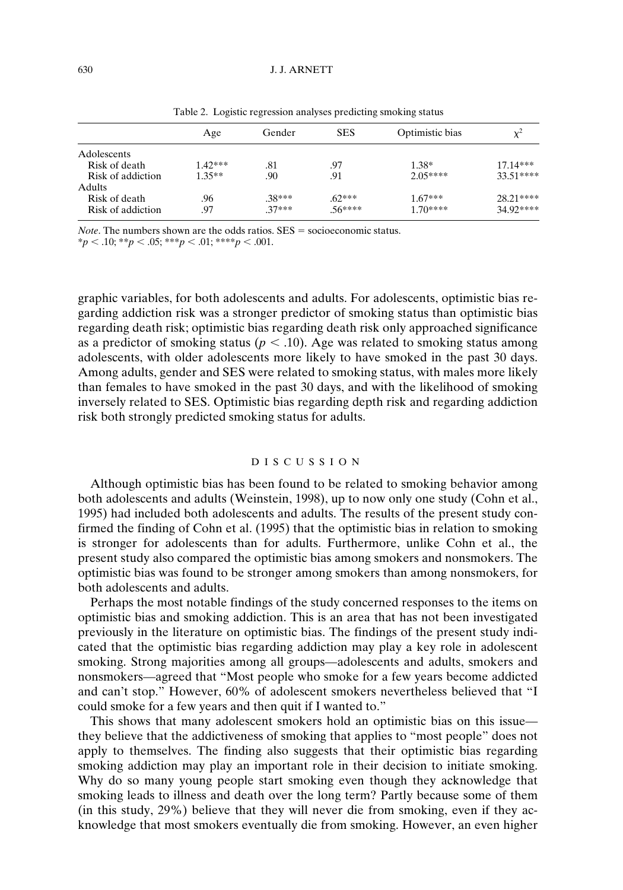|                   | Age       | Gender   | <b>SES</b> | Optimistic bias | $x^2$      |
|-------------------|-----------|----------|------------|-----------------|------------|
| Adolescents       |           |          |            |                 |            |
| Risk of death     | $1.42***$ | .81      | .97        | $1.38*$         | $17.14***$ |
| Risk of addiction | $1.35**$  | .90      | .91        | $2.05***$       | 33.51****  |
| <b>Adults</b>     |           |          |            |                 |            |
| Risk of death     | .96       | .38***   | $.62***$   | $1.67***$       | 28.21****  |
| Risk of addiction | .97       | $.37***$ | $.56***$   | $1.70***$       | 34.92****  |

Table 2. Logistic regression analyses predicting smoking status

*Note*. The numbers shown are the odds ratios.  $SES =$  socioeconomic status.

 $*_{p}$  < .10; \*\**p* < .05; \*\*\**p* < .01; \*\*\*\**p* < .001.

graphic variables, for both adolescents and adults. For adolescents, optimistic bias regarding addiction risk was a stronger predictor of smoking status than optimistic bias regarding death risk; optimistic bias regarding death risk only approached significance as a predictor of smoking status ( $p < .10$ ). Age was related to smoking status among adolescents, with older adolescents more likely to have smoked in the past 30 days. Among adults, gender and SES were related to smoking status, with males more likely than females to have smoked in the past 30 days, and with the likelihood of smoking inversely related to SES. Optimistic bias regarding depth risk and regarding addiction risk both strongly predicted smoking status for adults.

# DISCUSSION

Although optimistic bias has been found to be related to smoking behavior among both adolescents and adults (Weinstein, 1998), up to now only one study (Cohn et al., 1995) had included both adolescents and adults. The results of the present study confirmed the finding of Cohn et al. (1995) that the optimistic bias in relation to smoking is stronger for adolescents than for adults. Furthermore, unlike Cohn et al., the present study also compared the optimistic bias among smokers and nonsmokers. The optimistic bias was found to be stronger among smokers than among nonsmokers, for both adolescents and adults.

Perhaps the most notable findings of the study concerned responses to the items on optimistic bias and smoking addiction. This is an area that has not been investigated previously in the literature on optimistic bias. The findings of the present study indicated that the optimistic bias regarding addiction may play a key role in adolescent smoking. Strong majorities among all groups—adolescents and adults, smokers and nonsmokers—agreed that "Most people who smoke for a few years become addicted and can't stop." However, 60% of adolescent smokers nevertheless believed that "I could smoke for a few years and then quit if I wanted to."

This shows that many adolescent smokers hold an optimistic bias on this issue they believe that the addictiveness of smoking that applies to "most people" does not apply to themselves. The finding also suggests that their optimistic bias regarding smoking addiction may play an important role in their decision to initiate smoking. Why do so many young people start smoking even though they acknowledge that smoking leads to illness and death over the long term? Partly because some of them (in this study, 29%) believe that they will never die from smoking, even if they acknowledge that most smokers eventually die from smoking. However, an even higher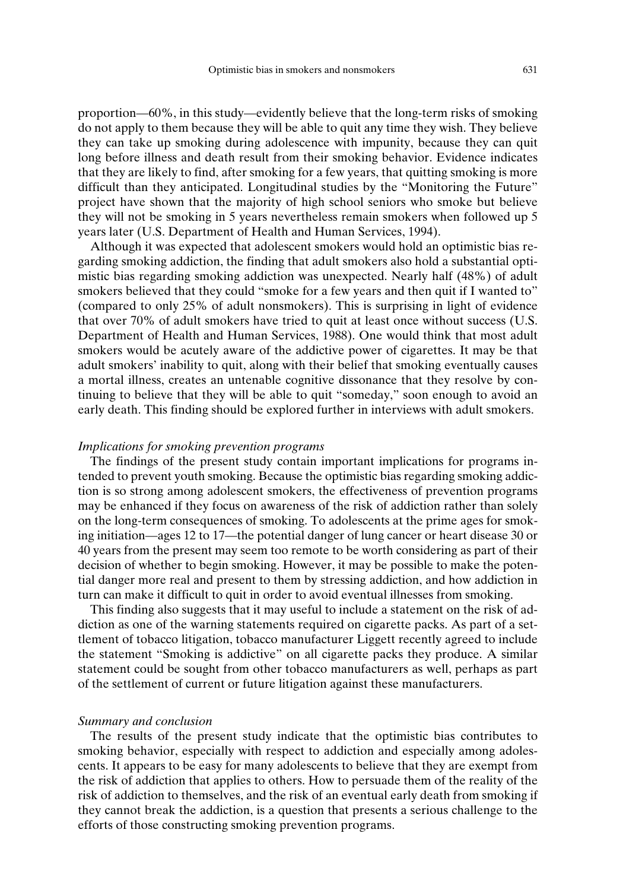proportion—60%, in this study—evidently believe that the long-term risks of smoking do not apply to them because they will be able to quit any time they wish. They believe they can take up smoking during adolescence with impunity, because they can quit long before illness and death result from their smoking behavior. Evidence indicates that they are likely to find, after smoking for a few years, that quitting smoking is more difficult than they anticipated. Longitudinal studies by the "Monitoring the Future" project have shown that the majority of high school seniors who smoke but believe they will not be smoking in 5 years nevertheless remain smokers when followed up 5 years later (U.S. Department of Health and Human Services, 1994).

Although it was expected that adolescent smokers would hold an optimistic bias regarding smoking addiction, the finding that adult smokers also hold a substantial optimistic bias regarding smoking addiction was unexpected. Nearly half (48%) of adult smokers believed that they could "smoke for a few years and then quit if I wanted to" (compared to only 25% of adult nonsmokers). This is surprising in light of evidence that over 70% of adult smokers have tried to quit at least once without success (U.S. Department of Health and Human Services, 1988). One would think that most adult smokers would be acutely aware of the addictive power of cigarettes. It may be that adult smokers' inability to quit, along with their belief that smoking eventually causes a mortal illness, creates an untenable cognitive dissonance that they resolve by continuing to believe that they will be able to quit "someday," soon enough to avoid an early death. This finding should be explored further in interviews with adult smokers.

# *Implications for smoking prevention programs*

The findings of the present study contain important implications for programs intended to prevent youth smoking. Because the optimistic bias regarding smoking addiction is so strong among adolescent smokers, the effectiveness of prevention programs may be enhanced if they focus on awareness of the risk of addiction rather than solely on the long-term consequences of smoking. To adolescents at the prime ages for smoking initiation—ages 12 to 17—the potential danger of lung cancer or heart disease 30 or 40 years from the present may seem too remote to be worth considering as part of their decision of whether to begin smoking. However, it may be possible to make the potential danger more real and present to them by stressing addiction, and how addiction in turn can make it difficult to quit in order to avoid eventual illnesses from smoking.

This finding also suggests that it may useful to include a statement on the risk of addiction as one of the warning statements required on cigarette packs. As part of a settlement of tobacco litigation, tobacco manufacturer Liggett recently agreed to include the statement "Smoking is addictive" on all cigarette packs they produce. A similar statement could be sought from other tobacco manufacturers as well, perhaps as part of the settlement of current or future litigation against these manufacturers.

### *Summary and conclusion*

The results of the present study indicate that the optimistic bias contributes to smoking behavior, especially with respect to addiction and especially among adolescents. It appears to be easy for many adolescents to believe that they are exempt from the risk of addiction that applies to others. How to persuade them of the reality of the risk of addiction to themselves, and the risk of an eventual early death from smoking if they cannot break the addiction, is a question that presents a serious challenge to the efforts of those constructing smoking prevention programs.